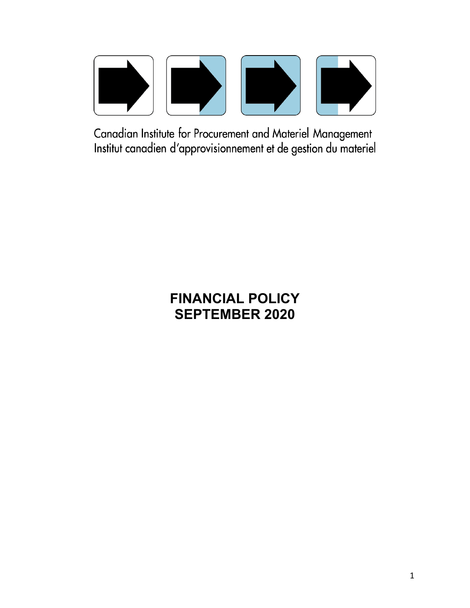

Canadian Institute for Procurement and Materiel Management Institut canadien d'approvisionnement et de gestion du materiel

# **FINANCIAL POLICY SEPTEMBER 2020**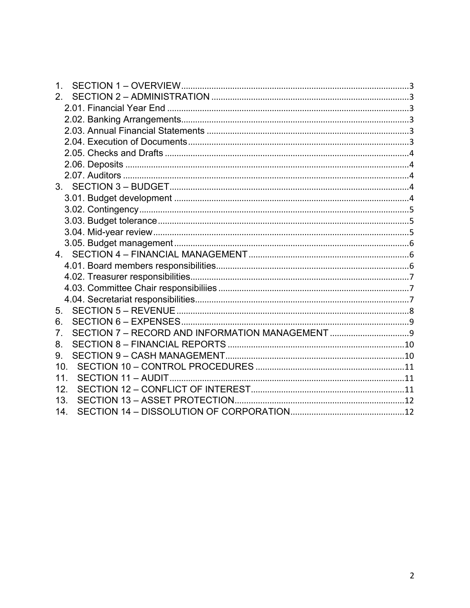| $\mathbf 1$     |  |
|-----------------|--|
| 2 <sup>1</sup>  |  |
|                 |  |
|                 |  |
|                 |  |
|                 |  |
|                 |  |
|                 |  |
|                 |  |
|                 |  |
|                 |  |
|                 |  |
|                 |  |
|                 |  |
|                 |  |
|                 |  |
|                 |  |
|                 |  |
|                 |  |
|                 |  |
| 5.              |  |
| 6.              |  |
| 7.              |  |
| 8.              |  |
| 9.              |  |
| 10 <sub>1</sub> |  |
| 11              |  |
| 12.             |  |
| 13.             |  |
| 14.             |  |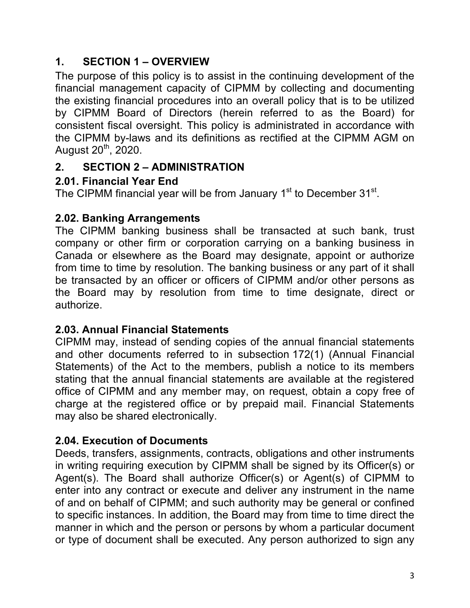# **1. SECTION 1 – OVERVIEW**

The purpose of this policy is to assist in the continuing development of the financial management capacity of CIPMM by collecting and documenting the existing financial procedures into an overall policy that is to be utilized by CIPMM Board of Directors (herein referred to as the Board) for consistent fiscal oversight. This policy is administrated in accordance with the CIPMM by-laws and its definitions as rectified at the CIPMM AGM on August  $20^{th}$ ,  $2020$ .

## **2. SECTION 2 – ADMINISTRATION**

## **2.01. Financial Year End**

The CIPMM financial year will be from January 1<sup>st</sup> to December 31<sup>st</sup>.

## **2.02. Banking Arrangements**

The CIPMM banking business shall be transacted at such bank, trust company or other firm or corporation carrying on a banking business in Canada or elsewhere as the Board may designate, appoint or authorize from time to time by resolution. The banking business or any part of it shall be transacted by an officer or officers of CIPMM and/or other persons as the Board may by resolution from time to time designate, direct or authorize.

#### **2.03. Annual Financial Statements**

CIPMM may, instead of sending copies of the annual financial statements and other documents referred to in subsection 172(1) (Annual Financial Statements) of the Act to the members, publish a notice to its members stating that the annual financial statements are available at the registered office of CIPMM and any member may, on request, obtain a copy free of charge at the registered office or by prepaid mail. Financial Statements may also be shared electronically.

## **2.04. Execution of Documents**

Deeds, transfers, assignments, contracts, obligations and other instruments in writing requiring execution by CIPMM shall be signed by its Officer(s) or Agent(s). The Board shall authorize Officer(s) or Agent(s) of CIPMM to enter into any contract or execute and deliver any instrument in the name of and on behalf of CIPMM; and such authority may be general or confined to specific instances. In addition, the Board may from time to time direct the manner in which and the person or persons by whom a particular document or type of document shall be executed. Any person authorized to sign any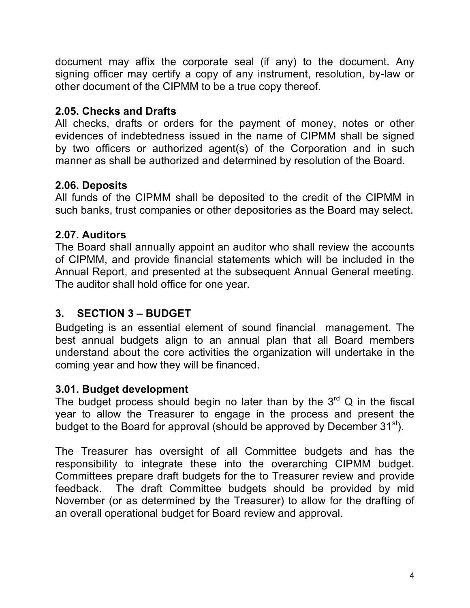document may affix the corporate seal (if any) to the document. Any signing officer may certify a copy of any instrument, resolution, by-law or other document of the CIPMM to be a true copy thereof.

#### **2.05. Checks and Drafts**

All checks, drafts or orders for the payment of money, notes or other evidences of indebtedness issued in the name of CIPMM shall be signed by two officers or authorized agent(s) of the Corporation and in such manner as shall be authorized and determined by resolution of the Board.

#### **2.06. Deposits**

All funds of the CIPMM shall be deposited to the credit of the CIPMM in such banks, trust companies or other depositories as the Board may select.

#### **2.07. Auditors**

The Board shall annually appoint an auditor who shall review the accounts of CIPMM, and provide financial statements which will be included in the Annual Report, and presented at the subsequent Annual General meeting. The auditor shall hold office for one year.

#### **3. SECTION 3 – BUDGET**

Budgeting is an essential element of sound financial management. The best annual budgets align to an annual plan that all Board members understand about the core activities the organization will undertake in the coming year and how they will be financed.

#### **3.01. Budget development**

The budget process should begin no later than by the  $3<sup>rd</sup>$  Q in the fiscal year to allow the Treasurer to engage in the process and present the budget to the Board for approval (should be approved by December  $31<sup>st</sup>$ ).

The Treasurer has oversight of all Committee budgets and has the responsibility to integrate these into the overarching CIPMM budget. Committees prepare draft budgets for the to Treasurer review and provide feedback. The draft Committee budgets should be provided by mid November (or as determined by the Treasurer) to allow for the drafting of an overall operational budget for Board review and approval.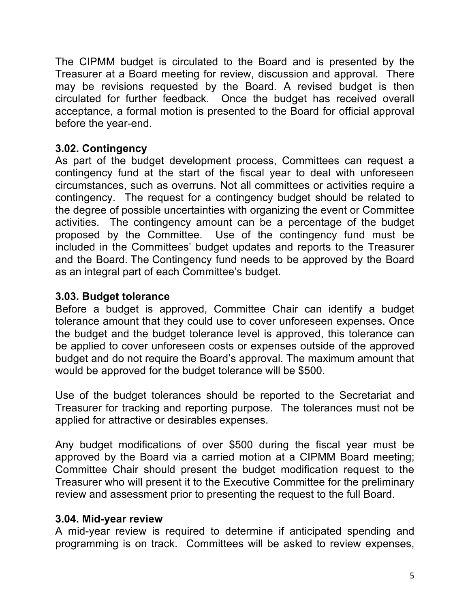The CIPMM budget is circulated to the Board and is presented by the Treasurer at a Board meeting for review, discussion and approval. There may be revisions requested by the Board. A revised budget is then circulated for further feedback. Once the budget has received overall acceptance, a formal motion is presented to the Board for official approval before the year-end.

## **3.02. Contingency**

As part of the budget development process, Committees can request a contingency fund at the start of the fiscal year to deal with unforeseen circumstances, such as overruns. Not all committees or activities require a contingency. The request for a contingency budget should be related to the degree of possible uncertainties with organizing the event or Committee activities. The contingency amount can be a percentage of the budget proposed by the Committee. Use of the contingency fund must be included in the Committees' budget updates and reports to the Treasurer and the Board. The Contingency fund needs to be approved by the Board as an integral part of each Committee's budget.

#### **3.03. Budget tolerance**

Before a budget is approved, Committee Chair can identify a budget tolerance amount that they could use to cover unforeseen expenses. Once the budget and the budget tolerance level is approved, this tolerance can be applied to cover unforeseen costs or expenses outside of the approved budget and do not require the Board's approval. The maximum amount that would be approved for the budget tolerance will be \$500.

Use of the budget tolerances should be reported to the Secretariat and Treasurer for tracking and reporting purpose. The tolerances must not be applied for attractive or desirables expenses.

Any budget modifications of over \$500 during the fiscal year must be approved by the Board via a carried motion at a CIPMM Board meeting; Committee Chair should present the budget modification request to the Treasurer who will present it to the Executive Committee for the preliminary review and assessment prior to presenting the request to the full Board.

#### **3.04. Mid-year review**

A mid-year review is required to determine if anticipated spending and programming is on track. Committees will be asked to review expenses,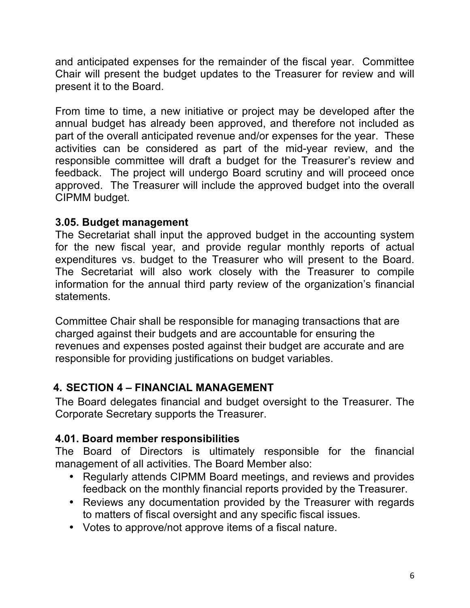and anticipated expenses for the remainder of the fiscal year. Committee Chair will present the budget updates to the Treasurer for review and will present it to the Board.

From time to time, a new initiative or project may be developed after the annual budget has already been approved, and therefore not included as part of the overall anticipated revenue and/or expenses for the year. These activities can be considered as part of the mid-year review, and the responsible committee will draft a budget for the Treasurer's review and feedback. The project will undergo Board scrutiny and will proceed once approved. The Treasurer will include the approved budget into the overall CIPMM budget.

#### **3.05. Budget management**

The Secretariat shall input the approved budget in the accounting system for the new fiscal year, and provide regular monthly reports of actual expenditures vs. budget to the Treasurer who will present to the Board. The Secretariat will also work closely with the Treasurer to compile information for the annual third party review of the organization's financial statements.

Committee Chair shall be responsible for managing transactions that are charged against their budgets and are accountable for ensuring the revenues and expenses posted against their budget are accurate and are responsible for providing justifications on budget variables.

## **4. SECTION 4 – FINANCIAL MANAGEMENT**

The Board delegates financial and budget oversight to the Treasurer. The Corporate Secretary supports the Treasurer.

#### **4.01. Board member responsibilities**

The Board of Directors is ultimately responsible for the financial management of all activities. The Board Member also:

- Regularly attends CIPMM Board meetings, and reviews and provides feedback on the monthly financial reports provided by the Treasurer.
- Reviews any documentation provided by the Treasurer with regards to matters of fiscal oversight and any specific fiscal issues.
- Votes to approve/not approve items of a fiscal nature.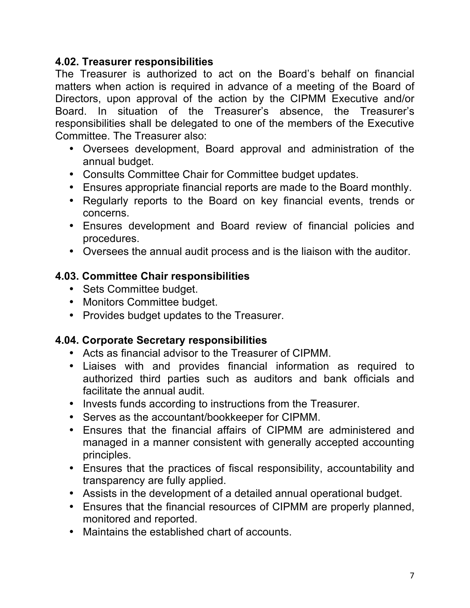#### **4.02. Treasurer responsibilities**

The Treasurer is authorized to act on the Board's behalf on financial matters when action is required in advance of a meeting of the Board of Directors, upon approval of the action by the CIPMM Executive and/or Board. In situation of the Treasurer's absence, the Treasurer's responsibilities shall be delegated to one of the members of the Executive Committee. The Treasurer also:

- Oversees development, Board approval and administration of the annual budget.
- Consults Committee Chair for Committee budget updates.
- Ensures appropriate financial reports are made to the Board monthly.
- Regularly reports to the Board on key financial events, trends or concerns.
- Ensures development and Board review of financial policies and procedures.
- Oversees the annual audit process and is the liaison with the auditor.

#### **4.03. Committee Chair responsibilities**

- Sets Committee budget.
- Monitors Committee budget.
- Provides budget updates to the Treasurer.

#### **4.04. Corporate Secretary responsibilities**

- Acts as financial advisor to the Treasurer of CIPMM.
- Liaises with and provides financial information as required to authorized third parties such as auditors and bank officials and facilitate the annual audit.
- Invests funds according to instructions from the Treasurer.
- Serves as the accountant/bookkeeper for CIPMM.
- Ensures that the financial affairs of CIPMM are administered and managed in a manner consistent with generally accepted accounting principles.
- Ensures that the practices of fiscal responsibility, accountability and transparency are fully applied.
- Assists in the development of a detailed annual operational budget.
- Ensures that the financial resources of CIPMM are properly planned, monitored and reported.
- Maintains the established chart of accounts.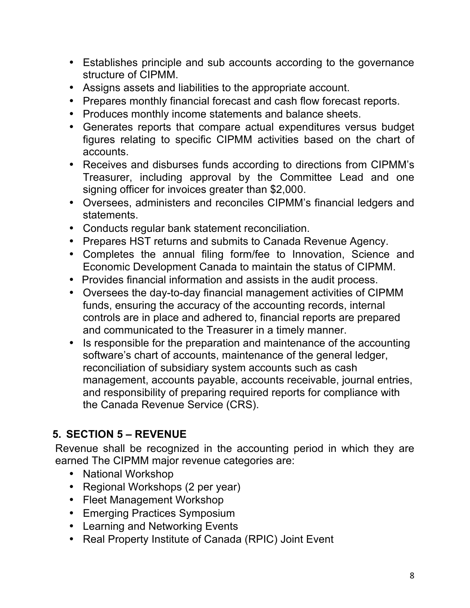- Establishes principle and sub accounts according to the governance structure of CIPMM.
- Assigns assets and liabilities to the appropriate account.
- Prepares monthly financial forecast and cash flow forecast reports.
- Produces monthly income statements and balance sheets.
- Generates reports that compare actual expenditures versus budget figures relating to specific CIPMM activities based on the chart of accounts.
- Receives and disburses funds according to directions from CIPMM's Treasurer, including approval by the Committee Lead and one signing officer for invoices greater than \$2,000.
- Oversees, administers and reconciles CIPMM's financial ledgers and statements.
- Conducts regular bank statement reconciliation.
- Prepares HST returns and submits to Canada Revenue Agency.
- Completes the annual filing form/fee to Innovation, Science and Economic Development Canada to maintain the status of CIPMM.
- Provides financial information and assists in the audit process.
- Oversees the day-to-day financial management activities of CIPMM funds, ensuring the accuracy of the accounting records, internal controls are in place and adhered to, financial reports are prepared and communicated to the Treasurer in a timely manner.
- Is responsible for the preparation and maintenance of the accounting software's chart of accounts, maintenance of the general ledger, reconciliation of subsidiary system accounts such as cash management, accounts payable, accounts receivable, journal entries, and responsibility of preparing required reports for compliance with the Canada Revenue Service (CRS).

# **5. SECTION 5 – REVENUE**

Revenue shall be recognized in the accounting period in which they are earned The CIPMM major revenue categories are:

- National Workshop
- Regional Workshops (2 per year)
- Fleet Management Workshop
- Emerging Practices Symposium
- Learning and Networking Events
- Real Property Institute of Canada (RPIC) Joint Event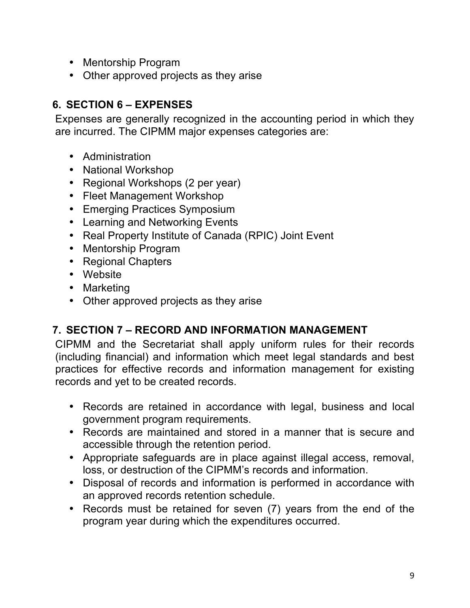- Mentorship Program
- Other approved projects as they arise

# **6. SECTION 6 – EXPENSES**

Expenses are generally recognized in the accounting period in which they are incurred. The CIPMM major expenses categories are:

- Administration
- National Workshop
- Regional Workshops (2 per year)
- Fleet Management Workshop
- Emerging Practices Symposium
- Learning and Networking Events
- Real Property Institute of Canada (RPIC) Joint Event
- Mentorship Program
- Regional Chapters
- Website
- Marketing
- Other approved projects as they arise

## **7. SECTION 7 – RECORD AND INFORMATION MANAGEMENT**

CIPMM and the Secretariat shall apply uniform rules for their records (including financial) and information which meet legal standards and best practices for effective records and information management for existing records and yet to be created records.

- Records are retained in accordance with legal, business and local government program requirements.
- Records are maintained and stored in a manner that is secure and accessible through the retention period.
- Appropriate safeguards are in place against illegal access, removal, loss, or destruction of the CIPMM's records and information.
- Disposal of records and information is performed in accordance with an approved records retention schedule.
- Records must be retained for seven (7) years from the end of the program year during which the expenditures occurred.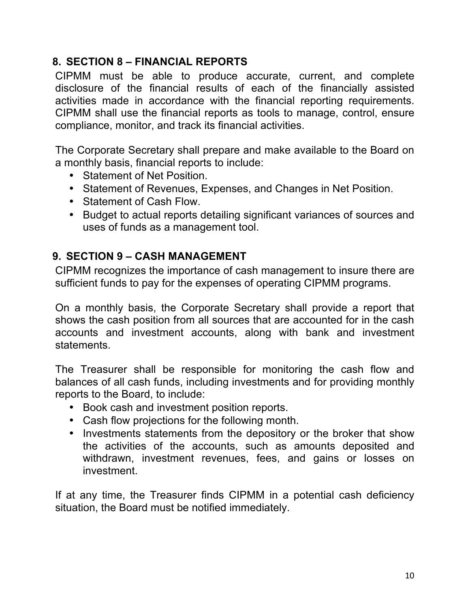## **8. SECTION 8 – FINANCIAL REPORTS**

CIPMM must be able to produce accurate, current, and complete disclosure of the financial results of each of the financially assisted activities made in accordance with the financial reporting requirements. CIPMM shall use the financial reports as tools to manage, control, ensure compliance, monitor, and track its financial activities.

The Corporate Secretary shall prepare and make available to the Board on a monthly basis, financial reports to include:

- Statement of Net Position.
- Statement of Revenues, Expenses, and Changes in Net Position.
- Statement of Cash Flow.
- Budget to actual reports detailing significant variances of sources and uses of funds as a management tool.

#### **9. SECTION 9 – CASH MANAGEMENT**

CIPMM recognizes the importance of cash management to insure there are sufficient funds to pay for the expenses of operating CIPMM programs.

On a monthly basis, the Corporate Secretary shall provide a report that shows the cash position from all sources that are accounted for in the cash accounts and investment accounts, along with bank and investment statements.

The Treasurer shall be responsible for monitoring the cash flow and balances of all cash funds, including investments and for providing monthly reports to the Board, to include:

- Book cash and investment position reports.
- Cash flow projections for the following month.
- Investments statements from the depository or the broker that show the activities of the accounts, such as amounts deposited and withdrawn, investment revenues, fees, and gains or losses on investment.

If at any time, the Treasurer finds CIPMM in a potential cash deficiency situation, the Board must be notified immediately.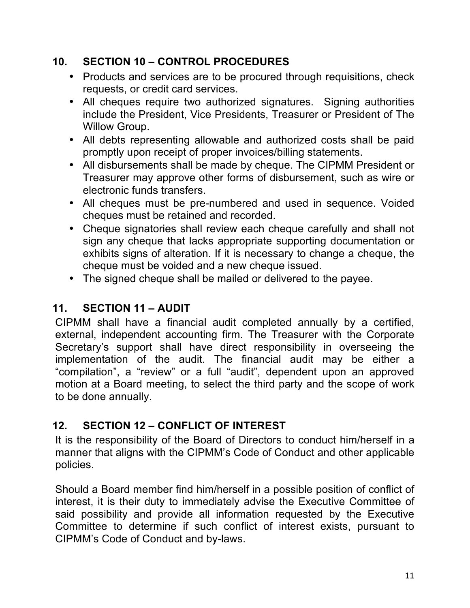## **10. SECTION 10 – CONTROL PROCEDURES**

- Products and services are to be procured through requisitions, check requests, or credit card services.
- All cheques require two authorized signatures. Signing authorities include the President, Vice Presidents, Treasurer or President of The Willow Group.
- All debts representing allowable and authorized costs shall be paid promptly upon receipt of proper invoices/billing statements.
- All disbursements shall be made by cheque. The CIPMM President or Treasurer may approve other forms of disbursement, such as wire or electronic funds transfers.
- All cheques must be pre-numbered and used in sequence. Voided cheques must be retained and recorded.
- Cheque signatories shall review each cheque carefully and shall not sign any cheque that lacks appropriate supporting documentation or exhibits signs of alteration. If it is necessary to change a cheque, the cheque must be voided and a new cheque issued.
- The signed cheque shall be mailed or delivered to the payee.

## **11. SECTION 11 – AUDIT**

CIPMM shall have a financial audit completed annually by a certified, external, independent accounting firm. The Treasurer with the Corporate Secretary's support shall have direct responsibility in overseeing the implementation of the audit. The financial audit may be either a "compilation", a "review" or a full "audit", dependent upon an approved motion at a Board meeting, to select the third party and the scope of work to be done annually.

## **12. SECTION 12 – CONFLICT OF INTEREST**

It is the responsibility of the Board of Directors to conduct him/herself in a manner that aligns with the CIPMM's Code of Conduct and other applicable policies.

Should a Board member find him/herself in a possible position of conflict of interest, it is their duty to immediately advise the Executive Committee of said possibility and provide all information requested by the Executive Committee to determine if such conflict of interest exists, pursuant to CIPMM's Code of Conduct and by-laws.